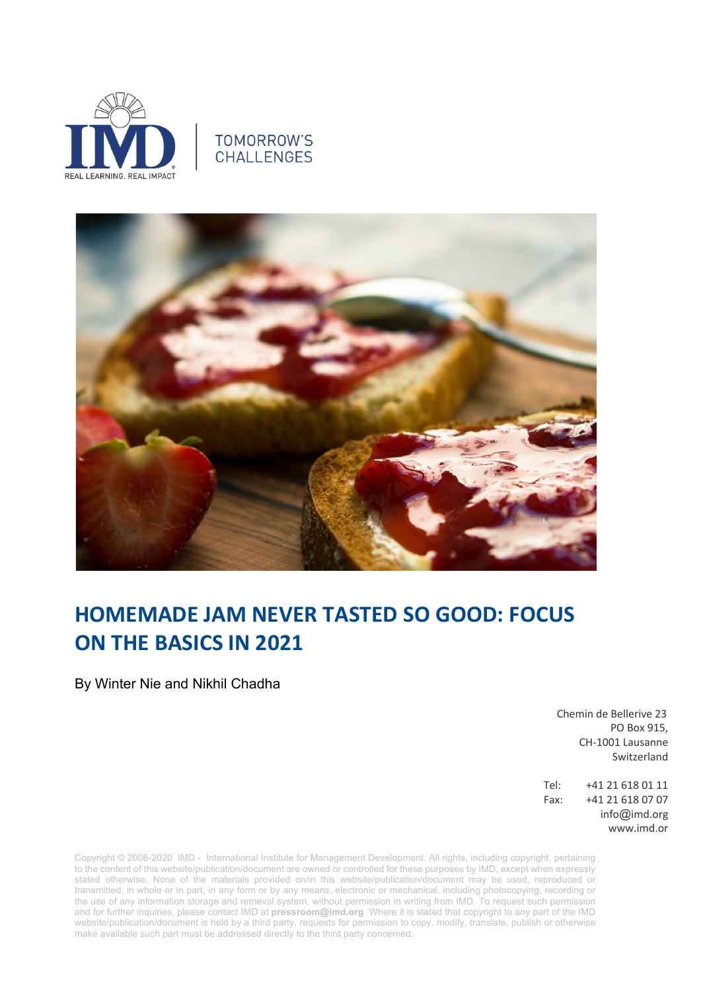

## **TOMORROW'S CHALLENGES**



## **HOMEMADE JAM NEVER TASTED SO GOOD: FOCUS ON THE BASICS IN 2021**

By Winter Nie and Nikhil Chadha

 Chemin de Bellerive 23 PO Box 915, CH-1001 Lausanne Switzerland

Tel: +41 21 618 01 11 Fax: +41 21 618 07 07 info@imd.org www.imd.or

Copyright © 2006-2020 IMD - International Institute for Management Development. All rights, including copyright, pertaining to the content of this website/publication/document are owned or controlled for these purposes by IMD, except when expressly stated otherwise. None of the materials provided on/in this website/publication/document may be used, reproduced or transmitted, in whole or in part, in any form or by any means, electronic or mechanical, including photocopying, recording or the use of any information storage and retrieval system, without permission in writing from IMD. To request such permission and for further inquiries, please contact IMD at **pressroom@imd.org**. Where it is stated that copyright to any part of the IMD website/publication/document is held by a third party, requests for permission to copy, modify, translate, publish or otherwise make available such part must be addressed directly to the third party concerned.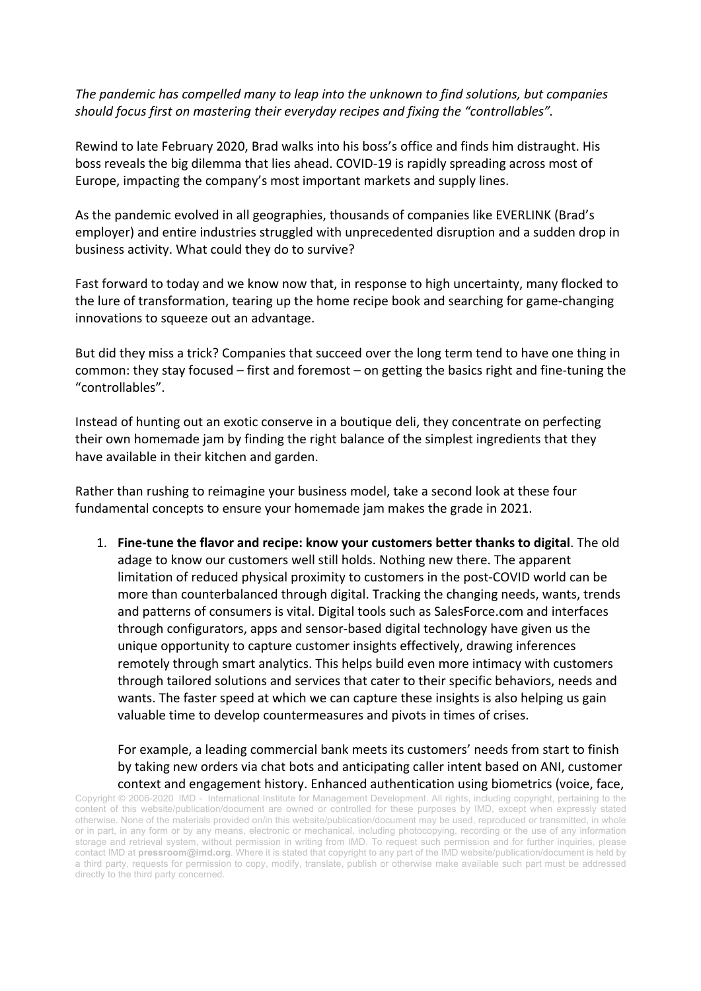*The pandemic has compelled many to leap into the unknown to find solutions, but companies should focus first on mastering their everyday recipes and fixing the "controllables".*

Rewind to late February 2020, Brad walks into his boss's office and finds him distraught. His boss reveals the big dilemma that lies ahead. COVID-19 is rapidly spreading across most of Europe, impacting the company's most important markets and supply lines.

As the pandemic evolved in all geographies, thousands of companies like EVERLINK (Brad's employer) and entire industries struggled with unprecedented disruption and a sudden drop in business activity. What could they do to survive?

Fast forward to today and we know now that, in response to high uncertainty, many flocked to the lure of transformation, tearing up the home recipe book and searching for game-changing innovations to squeeze out an advantage.

But did they miss a trick? Companies that succeed over the long term tend to have one thing in common: they stay focused – first and foremost – on getting the basics right and fine-tuning the "controllables".

Instead of hunting out an exotic conserve in a boutique deli, they concentrate on perfecting their own homemade jam by finding the right balance of the simplest ingredients that they have available in their kitchen and garden.

Rather than rushing to reimagine your business model, take a second look at these four fundamental concepts to ensure your homemade jam makes the grade in 2021.

1. **Fine-tune the flavor and recipe: know your customers better thanks to digital**. The old adage to know our customers well still holds. Nothing new there. The apparent limitation of reduced physical proximity to customers in the post-COVID world can be more than counterbalanced through digital. Tracking the changing needs, wants, trends and patterns of consumers is vital. Digital tools such as SalesForce.com and interfaces through configurators, apps and sensor-based digital technology have given us the unique opportunity to capture customer insights effectively, drawing inferences remotely through smart analytics. This helps build even more intimacy with customers through tailored solutions and services that cater to their specific behaviors, needs and wants. The faster speed at which we can capture these insights is also helping us gain valuable time to develop countermeasures and pivots in times of crises.

For example, a leading commercial bank meets its customers' needs from start to finish by taking new orders via chat bots and anticipating caller intent based on ANI, customer context and engagement history. Enhanced authentication using biometrics (voice, face,

Copyright © 2006-2020 IMD - International Institute for Management Development. All rights, including copyright, pertaining to the content of this website/publication/document are owned or controlled for these purposes by IMD, except when expressly stated otherwise. None of the materials provided on/in this website/publication/document may be used, reproduced or transmitted, in whole or in part, in any form or by any means, electronic or mechanical, including photocopying, recording or the use of any information storage and retrieval system, without permission in writing from IMD. To request such permission and for further inquiries, please contact IMD at **pressroom@imd.org**. Where it is stated that copyright to any part of the IMD website/publication/document is held by a third party, requests for permission to copy, modify, translate, publish or otherwise make available such part must be addressed directly to the third party concerned.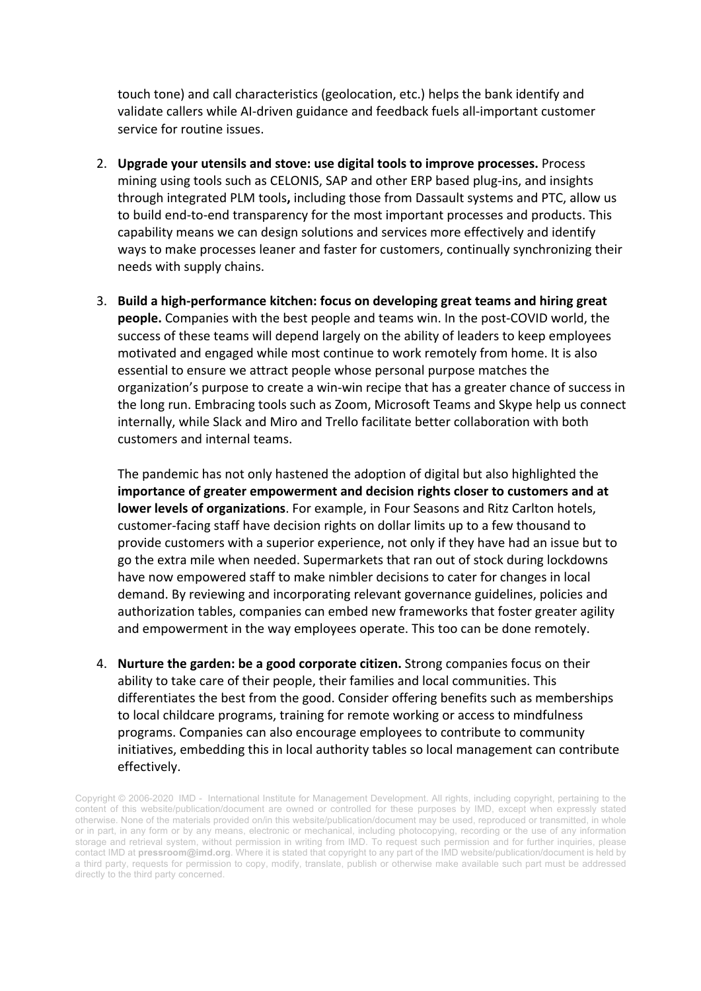touch tone) and call characteristics (geolocation, etc.) helps the bank identify and validate callers while AI-driven guidance and feedback fuels all-important customer service for routine issues.

- 2. **Upgrade your utensils and stove: use digital tools to improve processes.** Process mining using tools such as CELONIS, SAP and other ERP based plug-ins, and insights through integrated PLM tools**,** including those from Dassault systems and PTC, allow us to build end-to-end transparency for the most important processes and products. This capability means we can design solutions and services more effectively and identify ways to make processes leaner and faster for customers, continually synchronizing their needs with supply chains.
- 3. **Build a high-performance kitchen: focus on developing great teams and hiring great people.** Companies with the best people and teams win. In the post-COVID world, the success of these teams will depend largely on the ability of leaders to keep employees motivated and engaged while most continue to work remotely from home. It is also essential to ensure we attract people whose personal purpose matches the organization's purpose to create a win-win recipe that has a greater chance of success in the long run. Embracing tools such as Zoom, Microsoft Teams and Skype help us connect internally, while Slack and Miro and Trello facilitate better collaboration with both customers and internal teams.

The pandemic has not only hastened the adoption of digital but also highlighted the **importance of greater empowerment and decision rights closer to customers and at lower levels of organizations**. For example, in Four Seasons and Ritz Carlton hotels, customer-facing staff have decision rights on dollar limits up to a few thousand to provide customers with a superior experience, not only if they have had an issue but to go the extra mile when needed. Supermarkets that ran out of stock during lockdowns have now empowered staff to make nimbler decisions to cater for changes in local demand. By reviewing and incorporating relevant governance guidelines, policies and authorization tables, companies can embed new frameworks that foster greater agility and empowerment in the way employees operate. This too can be done remotely.

4. **Nurture the garden: be a good corporate citizen.** Strong companies focus on their ability to take care of their people, their families and local communities. This differentiates the best from the good. Consider offering benefits such as memberships to local childcare programs, training for remote working or access to mindfulness programs. Companies can also encourage employees to contribute to community initiatives, embedding this in local authority tables so local management can contribute effectively.

Copyright © 2006-2020 IMD - International Institute for Management Development. All rights, including copyright, pertaining to the content of this website/publication/document are owned or controlled for these purposes by IMD, except when expressly stated otherwise. None of the materials provided on/in this website/publication/document may be used, reproduced or transmitted, in whole or in part, in any form or by any means, electronic or mechanical, including photocopying, recording or the use of any information storage and retrieval system, without permission in writing from IMD. To request such permission and for further inquiries, please contact IMD at **pressroom@imd.org**. Where it is stated that copyright to any part of the IMD website/publication/document is held by a third party, requests for permission to copy, modify, translate, publish or otherwise make available such part must be addressed directly to the third party concerned.